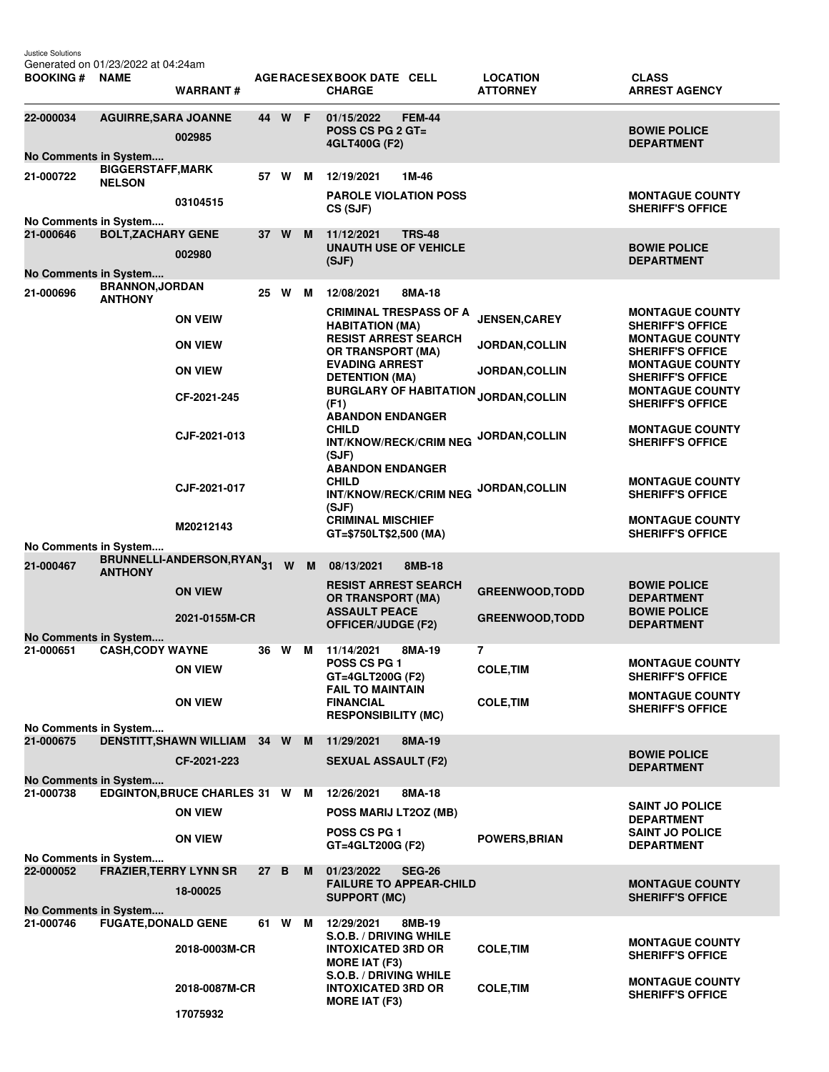Justice Solutions

Generated on 01/23/2022 at 04:24am

| <b>BOOKING # NAME</b>                                          |                                           | <b>WARRANT#</b>                        |      |        |          | AGE RACE SEX BOOK DATE CELL<br><b>CHARGE</b>                                           |               | <b>LOCATION</b><br><b>ATTORNEY</b> | <b>CLASS</b><br><b>ARREST AGENCY</b>                                        |
|----------------------------------------------------------------|-------------------------------------------|----------------------------------------|------|--------|----------|----------------------------------------------------------------------------------------|---------------|------------------------------------|-----------------------------------------------------------------------------|
| 22-000034                                                      | <b>AGUIRRE, SARA JOANNE</b>               | 002985                                 |      | 44 W F |          | 01/15/2022<br>POSS CS PG 2 GT=<br>4GLT400G (F2)                                        | <b>FEM-44</b> |                                    | <b>BOWIE POLICE</b><br><b>DEPARTMENT</b>                                    |
| No Comments in System                                          |                                           |                                        |      |        |          |                                                                                        |               |                                    |                                                                             |
| 21-000722                                                      | <b>BIGGERSTAFF, MARK</b><br><b>NELSON</b> |                                        |      | 57 W M |          | 12/19/2021                                                                             | 1M-46         |                                    |                                                                             |
|                                                                |                                           | 03104515                               |      |        |          | <b>PAROLE VIOLATION POSS</b><br>CS (SJF)                                               |               |                                    | <b>MONTAGUE COUNTY</b><br><b>SHERIFF'S OFFICE</b>                           |
| No Comments in System<br>21-000646                             | <b>BOLT, ZACHARY GENE</b>                 |                                        |      | 37 W   | <b>M</b> | 11/12/2021                                                                             | <b>TRS-48</b> |                                    |                                                                             |
|                                                                |                                           | 002980                                 |      |        |          | <b>UNAUTH USE OF VEHICLE</b><br>(SJF)                                                  |               |                                    | <b>BOWIE POLICE</b><br><b>DEPARTMENT</b>                                    |
| No Comments in System                                          |                                           |                                        |      |        |          |                                                                                        |               |                                    |                                                                             |
| 21-000696                                                      | <b>BRANNON, JORDAN</b><br><b>ANTHONY</b>  |                                        | 25 W |        | м        | 12/08/2021                                                                             | 8MA-18        |                                    |                                                                             |
|                                                                |                                           | <b>ON VEIW</b>                         |      |        |          | <b>CRIMINAL TRESPASS OF A</b><br><b>HABITATION (MA)</b><br><b>RESIST ARREST SEARCH</b> |               | <b>JENSEN, CAREY</b>               | <b>MONTAGUE COUNTY</b><br><b>SHERIFF'S OFFICE</b><br><b>MONTAGUE COUNTY</b> |
|                                                                |                                           | <b>ON VIEW</b>                         |      |        |          | <b>OR TRANSPORT (MA)</b><br><b>EVADING ARREST</b>                                      |               | JORDAN, COLLIN                     | <b>SHERIFF'S OFFICE</b><br><b>MONTAGUE COUNTY</b>                           |
|                                                                |                                           | <b>ON VIEW</b>                         |      |        |          | <b>DETENTION (MA)</b>                                                                  |               | <b>JORDAN, COLLIN</b>              | <b>SHERIFF'S OFFICE</b>                                                     |
|                                                                |                                           | CF-2021-245                            |      |        |          | <b>BURGLARY OF HABITATION</b><br>(F1)                                                  |               | JORDAN, COLLIN                     | <b>MONTAGUE COUNTY</b><br><b>SHERIFF'S OFFICE</b>                           |
|                                                                |                                           |                                        |      |        |          | <b>ABANDON ENDANGER</b><br><b>CHILD</b>                                                |               |                                    | <b>MONTAGUE COUNTY</b>                                                      |
|                                                                |                                           | CJF-2021-013                           |      |        |          | INT/KNOW/RECK/CRIM NEG<br>(SJF)<br><b>ABANDON ENDANGER</b>                             |               | JORDAN, COLLIN                     | <b>SHERIFF'S OFFICE</b>                                                     |
|                                                                |                                           | CJF-2021-017                           |      |        |          | <b>CHILD</b><br><b>INT/KNOW/RECK/CRIM NEG</b>                                          |               | <b>JORDAN, COLLIN</b>              | <b>MONTAGUE COUNTY</b><br><b>SHERIFF'S OFFICE</b>                           |
|                                                                |                                           | M20212143                              |      |        |          | (SJF)<br><b>CRIMINAL MISCHIEF</b><br>GT=\$750LT\$2,500 (MA)                            |               |                                    | <b>MONTAGUE COUNTY</b><br><b>SHERIFF'S OFFICE</b>                           |
| No Comments in System                                          |                                           |                                        |      |        |          |                                                                                        |               |                                    |                                                                             |
| 21-000467                                                      | <b>ANTHONY</b>                            | BRUNNELLI-ANDERSON, RYAN <sub>31</sub> |      | W      | M        | 08/13/2021                                                                             | 8MB-18        |                                    |                                                                             |
|                                                                |                                           | <b>ON VIEW</b>                         |      |        |          | RESIST ARREST SEARCH<br><b>OR TRANSPORT (MA)</b>                                       |               | <b>GREENWOOD, TODD</b>             | <b>BOWIE POLICE</b><br><b>DEPARTMENT</b>                                    |
|                                                                |                                           | 2021-0155M-CR                          |      |        |          | <b>ASSAULT PEACE</b><br><b>OFFICER/JUDGE (F2)</b>                                      |               | <b>GREENWOOD, TODD</b>             | <b>BOWIE POLICE</b><br><b>DEPARTMENT</b>                                    |
| No Comments in System                                          |                                           |                                        |      |        |          |                                                                                        |               |                                    |                                                                             |
| 21-000651                                                      | <b>CASH, CODY WAYNE</b>                   |                                        | 36 W |        | м        | 11/14/2021<br><b>POSS CS PG 1</b>                                                      | 8MA-19        | 7                                  | <b>MONTAGUE COUNTY</b>                                                      |
|                                                                |                                           | <b>ON VIEW</b>                         |      |        |          | GT=4GLT200G (F2)<br><b>FAIL TO MAINTAIN</b>                                            |               | <b>COLE.TIM</b>                    | <b>SHERIFF'S OFFICE</b>                                                     |
|                                                                |                                           | <b>ON VIEW</b>                         |      |        |          | <b>FINANCIAL</b><br><b>RESPONSIBILITY (MC)</b>                                         |               | <b>COLE, TIM</b>                   | <b>MONTAGUE COUNTY</b><br><b>SHERIFF'S OFFICE</b>                           |
| No Comments in System                                          |                                           |                                        |      |        |          |                                                                                        |               |                                    |                                                                             |
| 21-000675                                                      |                                           | DENSTITT, SHAWN WILLIAM 34 W M         |      |        |          | 11/29/2021                                                                             | 8MA-19        |                                    |                                                                             |
|                                                                |                                           | CF-2021-223                            |      |        |          | <b>SEXUAL ASSAULT (F2)</b>                                                             |               |                                    | <b>BOWIE POLICE</b><br><b>DEPARTMENT</b>                                    |
| No Comments in System<br>21-000738                             |                                           | EDGINTON, BRUCE CHARLES 31 W M         |      |        |          | 12/26/2021                                                                             | 8MA-18        |                                    |                                                                             |
|                                                                |                                           | <b>ON VIEW</b>                         |      |        |          | POSS MARIJ LT2OZ (MB)                                                                  |               |                                    | <b>SAINT JO POLICE</b><br><b>DEPARTMENT</b>                                 |
|                                                                |                                           | <b>ON VIEW</b>                         |      |        |          | POSS CS PG 1<br>GT=4GLT200G (F2)                                                       |               | <b>POWERS, BRIAN</b>               | <b>SAINT JO POLICE</b><br><b>DEPARTMENT</b>                                 |
| No Comments in System<br><b>FRAZIER, TERRY LYNN SR</b><br>27 B |                                           |                                        |      |        |          |                                                                                        |               |                                    |                                                                             |
| 22-000052                                                      |                                           | 18-00025                               |      |        | M        | 01/23/2022<br><b>FAILURE TO APPEAR-CHILD</b>                                           | <b>SEG-26</b> |                                    | <b>MONTAGUE COUNTY</b>                                                      |
| No Comments in System                                          |                                           |                                        |      |        |          | <b>SUPPORT (MC)</b>                                                                    |               |                                    | <b>SHERIFF'S OFFICE</b>                                                     |
| 21-000746                                                      | <b>FUGATE, DONALD GENE</b>                |                                        |      | 61 W M |          | 12/29/2021<br>S.O.B. / DRIVING WHILE                                                   | 8MB-19        |                                    |                                                                             |
|                                                                |                                           | 2018-0003M-CR                          |      |        |          | <b>INTOXICATED 3RD OR</b><br><b>MORE IAT (F3)</b>                                      |               | <b>COLE, TIM</b>                   | <b>MONTAGUE COUNTY</b><br><b>SHERIFF'S OFFICE</b>                           |
|                                                                |                                           | 2018-0087M-CR                          |      |        |          | S.O.B. / DRIVING WHILE<br><b>INTOXICATED 3RD OR</b>                                    |               | <b>COLE, TIM</b>                   | <b>MONTAGUE COUNTY</b><br><b>SHERIFF'S OFFICE</b>                           |
|                                                                |                                           | 17075932                               |      |        |          | <b>MORE IAT (F3)</b>                                                                   |               |                                    |                                                                             |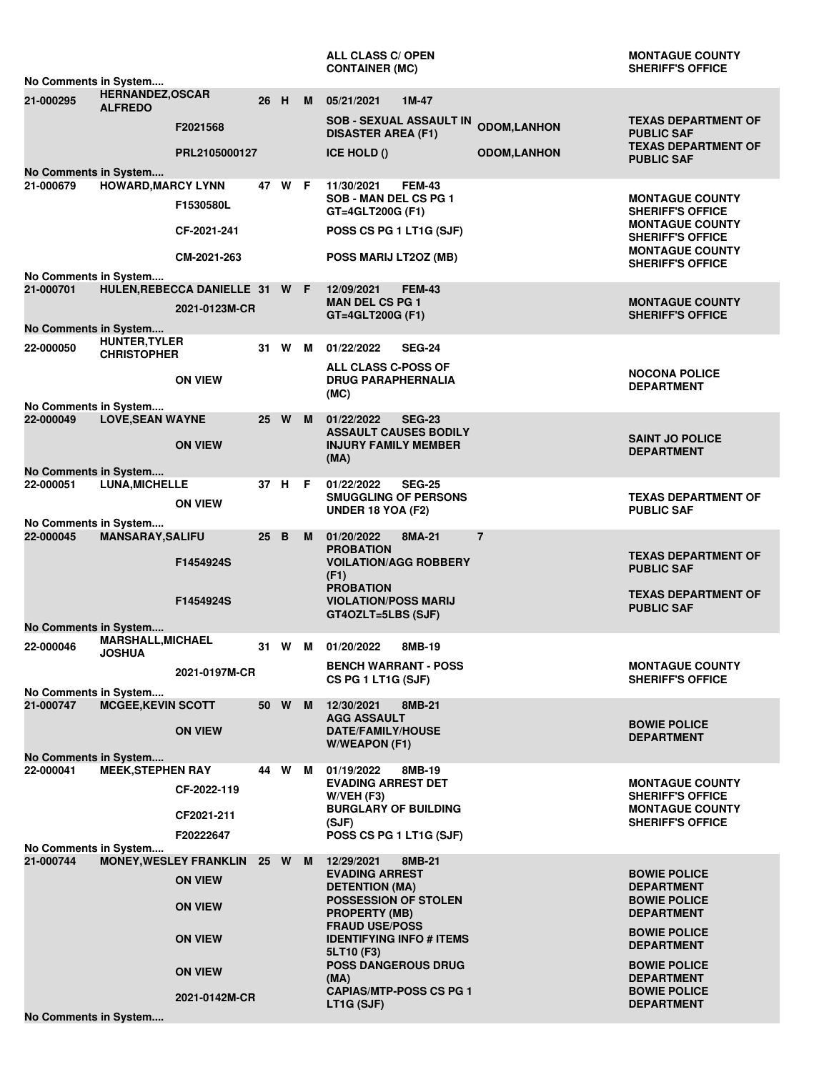|                                                                              |                           |                                |                 |                |   | <b>ALL CLASS C/ OPEN</b><br><b>CONTAINER (MC)</b>                                    |                     | <b>MONTAGUE COUNTY</b><br><b>SHERIFF'S OFFICE</b> |  |
|------------------------------------------------------------------------------|---------------------------|--------------------------------|-----------------|----------------|---|--------------------------------------------------------------------------------------|---------------------|---------------------------------------------------|--|
| No Comments in System<br><b>HERNANDEZ, OSCAR</b>                             |                           |                                |                 |                |   |                                                                                      |                     |                                                   |  |
| 21-000295                                                                    | <b>ALFREDO</b>            | F2021568                       | 26 H            |                | M | 05/21/2021<br>$1M-47$<br><b>SOB - SEXUAL ASSAULT IN</b><br><b>DISASTER AREA (F1)</b> | <b>ODOM,LANHON</b>  | <b>TEXAS DEPARTMENT OF</b><br><b>PUBLIC SAF</b>   |  |
|                                                                              |                           | PRL2105000127                  |                 |                |   | ICE HOLD ()                                                                          | <b>ODOM, LANHON</b> | <b>TEXAS DEPARTMENT OF</b><br><b>PUBLIC SAF</b>   |  |
| No Comments in System<br>21-000679                                           | <b>HOWARD, MARCY LYNN</b> |                                |                 | 47 W F         |   | <b>FEM-43</b><br>11/30/2021                                                          |                     |                                                   |  |
|                                                                              |                           | F1530580L                      |                 |                |   | SOB - MAN DEL CS PG 1<br>GT=4GLT200G (F1)                                            |                     | <b>MONTAGUE COUNTY</b><br><b>SHERIFF'S OFFICE</b> |  |
|                                                                              |                           | CF-2021-241                    |                 |                |   | POSS CS PG 1 LT1G (SJF)                                                              |                     | <b>MONTAGUE COUNTY</b><br><b>SHERIFF'S OFFICE</b> |  |
|                                                                              |                           | CM-2021-263                    |                 |                |   | POSS MARIJ LT2OZ (MB)                                                                |                     | <b>MONTAGUE COUNTY</b><br><b>SHERIFF'S OFFICE</b> |  |
| No Comments in System<br>21-000701                                           |                           | HULEN, REBECCA DANIELLE 31 W F |                 |                |   | 12/09/2021<br><b>FEM-43</b>                                                          |                     |                                                   |  |
|                                                                              |                           |                                |                 |                |   | <b>MAN DEL CS PG 1</b>                                                               |                     | <b>MONTAGUE COUNTY</b>                            |  |
|                                                                              |                           | 2021-0123M-CR                  |                 |                |   | GT=4GLT200G (F1)                                                                     |                     | <b>SHERIFF'S OFFICE</b>                           |  |
| No Comments in System                                                        | <b>HUNTER, TYLER</b>      |                                |                 |                |   |                                                                                      |                     |                                                   |  |
| 22-000050                                                                    | <b>CHRISTOPHER</b>        |                                |                 | 31 W M         |   | 01/22/2022<br><b>SEG-24</b>                                                          |                     |                                                   |  |
|                                                                              |                           | <b>ON VIEW</b>                 |                 |                |   | <b>ALL CLASS C-POSS OF</b><br><b>DRUG PARAPHERNALIA</b>                              |                     | <b>NOCONA POLICE</b>                              |  |
|                                                                              |                           |                                |                 |                |   | (MC)                                                                                 |                     | <b>DEPARTMENT</b>                                 |  |
| No Comments in System<br>22-000049                                           | <b>LOVE, SEAN WAYNE</b>   |                                |                 | 25 W           | M | 01/22/2022<br><b>SEG-23</b>                                                          |                     |                                                   |  |
|                                                                              |                           |                                |                 |                |   | <b>ASSAULT CAUSES BODILY</b>                                                         |                     |                                                   |  |
|                                                                              |                           | <b>ON VIEW</b>                 |                 |                |   | <b>INJURY FAMILY MEMBER</b>                                                          |                     | <b>SAINT JO POLICE</b><br><b>DEPARTMENT</b>       |  |
| No Comments in System                                                        |                           |                                |                 |                |   | (MA)                                                                                 |                     |                                                   |  |
| 22-000051                                                                    | <b>LUNA, MICHELLE</b>     |                                |                 | 37 H F         |   | 01/22/2022<br><b>SEG-25</b>                                                          |                     |                                                   |  |
|                                                                              |                           | <b>ON VIEW</b>                 |                 |                |   | <b>SMUGGLING OF PERSONS</b>                                                          |                     | <b>TEXAS DEPARTMENT OF</b>                        |  |
| No Comments in System                                                        |                           |                                |                 |                |   | <b>UNDER 18 YOA (F2)</b>                                                             |                     | <b>PUBLIC SAF</b>                                 |  |
| 22-000045                                                                    | <b>MANSARAY, SALIFU</b>   |                                | 25 <sub>2</sub> | $\overline{B}$ | M | 01/20/2022<br>8MA-21                                                                 | $\overline{7}$      |                                                   |  |
|                                                                              |                           |                                |                 |                |   | <b>PROBATION</b>                                                                     |                     | <b>TEXAS DEPARTMENT OF</b>                        |  |
|                                                                              |                           | F1454924S                      |                 |                |   | <b>VOILATION/AGG ROBBERY</b><br>(F1)                                                 |                     | <b>PUBLIC SAF</b>                                 |  |
|                                                                              |                           |                                |                 |                |   | <b>PROBATION</b>                                                                     |                     | <b>TEXAS DEPARTMENT OF</b>                        |  |
|                                                                              |                           | F1454924S                      |                 |                |   | <b>VIOLATION/POSS MARIJ</b><br>GT4OZLT=5LBS (SJF)                                    |                     | <b>PUBLIC SAF</b>                                 |  |
| No Comments in System                                                        |                           |                                |                 |                |   |                                                                                      |                     |                                                   |  |
| 22-000046                                                                    | <b>MARSHALL, MICHAEL</b>  |                                |                 | 31 W           | M | 01/20/2022<br>8MB-19                                                                 |                     |                                                   |  |
|                                                                              | <b>JOSHUA</b>             |                                |                 |                |   | <b>BENCH WARRANT - POSS</b>                                                          |                     | <b>MONTAGUE COUNTY</b>                            |  |
|                                                                              |                           | 2021-0197M-CR                  |                 |                |   | CS PG 1 LT1G (SJF)                                                                   |                     | <b>SHERIFF'S OFFICE</b>                           |  |
| No Comments in System                                                        |                           |                                |                 |                |   |                                                                                      |                     |                                                   |  |
| 21-000747                                                                    | <b>MCGEE, KEVIN SCOTT</b> |                                |                 | 50 W           | M | 12/30/2021<br>8MB-21<br><b>AGG ASSAULT</b>                                           |                     |                                                   |  |
|                                                                              |                           | <b>ON VIEW</b>                 |                 |                |   | <b>DATE/FAMILY/HOUSE</b>                                                             |                     | <b>BOWIE POLICE</b><br><b>DEPARTMENT</b>          |  |
|                                                                              |                           |                                |                 |                |   | <b>W/WEAPON (F1)</b>                                                                 |                     |                                                   |  |
| No Comments in System<br>22-000041                                           | <b>MEEK, STEPHEN RAY</b>  |                                |                 | 44 W M         |   | 01/19/2022<br>8MB-19                                                                 |                     |                                                   |  |
|                                                                              |                           | CF-2022-119                    |                 |                |   | <b>EVADING ARREST DET</b>                                                            |                     | <b>MONTAGUE COUNTY</b>                            |  |
|                                                                              |                           |                                |                 |                |   | $W/VEH$ (F3)<br><b>BURGLARY OF BUILDING</b>                                          |                     | <b>SHERIFF'S OFFICE</b><br><b>MONTAGUE COUNTY</b> |  |
|                                                                              |                           | CF2021-211                     |                 |                |   | (SJF)                                                                                |                     | <b>SHERIFF'S OFFICE</b>                           |  |
| POSS CS PG 1 LT1G (SJF)<br>F20222647<br>No Comments in System                |                           |                                |                 |                |   |                                                                                      |                     |                                                   |  |
| 21-000744<br><b>MONEY, WESLEY FRANKLIN</b><br>25 W M<br>12/29/2021<br>8MB-21 |                           |                                |                 |                |   |                                                                                      |                     |                                                   |  |
|                                                                              |                           | <b>ON VIEW</b>                 |                 |                |   | <b>EVADING ARREST</b><br><b>DETENTION (MA)</b>                                       |                     | <b>BOWIE POLICE</b><br><b>DEPARTMENT</b>          |  |
|                                                                              | <b>ON VIEW</b>            |                                |                 |                |   | POSSESSION OF STOLEN<br><b>PROPERTY (MB)</b>                                         |                     | <b>BOWIE POLICE</b><br><b>DEPARTMENT</b>          |  |
| <b>ON VIEW</b>                                                               |                           |                                |                 |                |   | <b>FRAUD USE/POSS</b>                                                                |                     | <b>BOWIE POLICE</b>                               |  |
|                                                                              |                           |                                |                 |                |   | <b>IDENTIFYING INFO # ITEMS</b><br>5LT10 (F3)                                        |                     | <b>DEPARTMENT</b>                                 |  |
|                                                                              |                           | <b>ON VIEW</b>                 |                 |                |   | <b>POSS DANGEROUS DRUG</b><br>(MA)                                                   |                     | <b>BOWIE POLICE</b><br><b>DEPARTMENT</b>          |  |
|                                                                              |                           | 2021-0142M-CR                  |                 |                |   | <b>CAPIAS/MTP-POSS CS PG 1</b>                                                       |                     | <b>BOWIE POLICE</b>                               |  |
| No Comments in System                                                        |                           |                                |                 |                |   | LT1G (SJF)                                                                           |                     | <b>DEPARTMENT</b>                                 |  |
|                                                                              |                           |                                |                 |                |   |                                                                                      |                     |                                                   |  |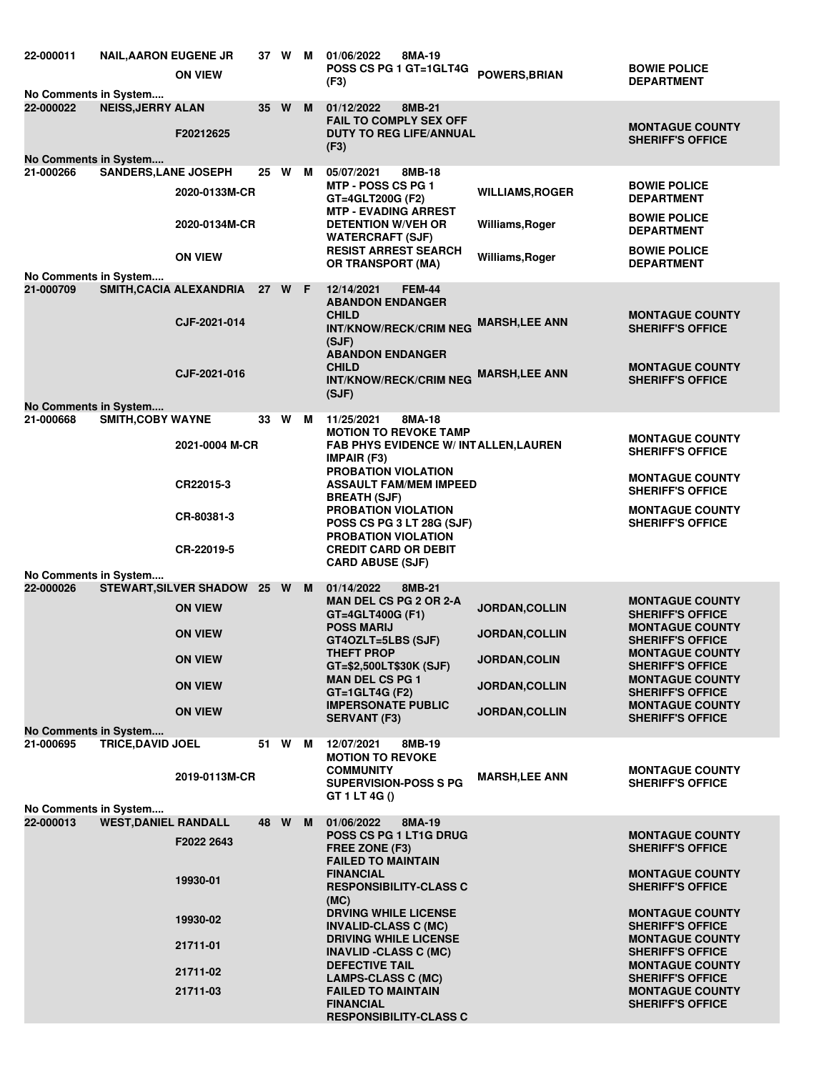| 22-000011<br>No Comments in System               | <b>NAIL, AARON EUGENE JR</b> | <b>ON VIEW</b>                 |    | 37 W M   |   | 01/06/2022<br>8MA-19<br><b>POSS CS PG 1 GT=1GLT4G</b><br>(F3)                                                        | POWERS, BRIAN          | <b>BOWIE POLICE</b><br><b>DEPARTMENT</b>                                    |  |
|--------------------------------------------------|------------------------------|--------------------------------|----|----------|---|----------------------------------------------------------------------------------------------------------------------|------------------------|-----------------------------------------------------------------------------|--|
| 22-000022                                        | <b>NEISS, JERRY ALAN</b>     | F20212625                      | 35 | <b>W</b> | M | 01/12/2022<br>8MB-21<br><b>FAIL TO COMPLY SEX OFF</b><br><b>DUTY TO REG LIFE/ANNUAL</b><br>(F3)                      |                        | <b>MONTAGUE COUNTY</b><br><b>SHERIFF'S OFFICE</b>                           |  |
| No Comments in System                            |                              |                                |    |          |   |                                                                                                                      |                        |                                                                             |  |
| 21-000266                                        | <b>SANDERS, LANE JOSEPH</b>  | 2020-0133M-CR                  | 25 | W        | M | 05/07/2021<br>8MB-18<br><b>MTP - POSS CS PG 1</b><br>GT=4GLT200G (F2)<br><b>MTP - EVADING ARREST</b>                 | <b>WILLIAMS, ROGER</b> | <b>BOWIE POLICE</b><br><b>DEPARTMENT</b>                                    |  |
|                                                  |                              | 2020-0134M-CR                  |    |          |   | <b>DETENTION W/VEH OR</b><br><b>WATERCRAFT (SJF)</b>                                                                 | Williams, Roger        | <b>BOWIE POLICE</b><br><b>DEPARTMENT</b>                                    |  |
| No Comments in System                            |                              | <b>ON VIEW</b>                 |    |          |   | <b>RESIST ARREST SEARCH</b><br><b>OR TRANSPORT (MA)</b>                                                              | Williams, Roger        | <b>BOWIE POLICE</b><br><b>DEPARTMENT</b>                                    |  |
| 21-000709                                        |                              | SMITH, CACIA ALEXANDRIA 27 W F |    |          |   | 12/14/2021<br><b>FEM-44</b><br><b>ABANDON ENDANGER</b><br><b>CHILD</b>                                               |                        | <b>MONTAGUE COUNTY</b>                                                      |  |
|                                                  |                              | CJF-2021-014                   |    |          |   | <b>INT/KNOW/RECK/CRIM NEG</b><br>(SJF)<br><b>ABANDON ENDANGER</b>                                                    | <b>MARSH,LEE ANN</b>   | <b>SHERIFF'S OFFICE</b>                                                     |  |
|                                                  |                              | CJF-2021-016                   |    |          |   | <b>CHILD</b><br><b>INT/KNOW/RECK/CRIM NEG</b><br>(SJF)                                                               | <b>MARSH, LEE ANN</b>  | <b>MONTAGUE COUNTY</b><br><b>SHERIFF'S OFFICE</b>                           |  |
| No Comments in System<br>21-000668               | SMITH, COBY WAYNE            |                                |    | 33 W M   |   | 11/25/2021<br>8MA-18                                                                                                 |                        |                                                                             |  |
|                                                  |                              | 2021-0004 M-CR                 |    |          |   | <b>MOTION TO REVOKE TAMP</b><br><b>FAB PHYS EVIDENCE W/ INTALLEN, LAUREN</b><br><b>IMPAIR (F3)</b>                   |                        | <b>MONTAGUE COUNTY</b><br><b>SHERIFF'S OFFICE</b>                           |  |
|                                                  |                              | CR22015-3                      |    |          |   | <b>PROBATION VIOLATION</b><br><b>ASSAULT FAM/MEM IMPEED</b><br><b>BREATH (SJF)</b>                                   |                        | <b>MONTAGUE COUNTY</b><br><b>SHERIFF'S OFFICE</b>                           |  |
|                                                  |                              | CR-80381-3                     |    |          |   | PROBATION VIOLATION<br><b>POSS CS PG 3 LT 28G (SJF)</b><br><b>PROBATION VIOLATION</b>                                |                        | <b>MONTAGUE COUNTY</b><br><b>SHERIFF'S OFFICE</b>                           |  |
|                                                  |                              | CR-22019-5                     |    |          |   | <b>CREDIT CARD OR DEBIT</b>                                                                                          |                        |                                                                             |  |
| <b>CARD ABUSE (SJF)</b><br>No Comments in System |                              |                                |    |          |   |                                                                                                                      |                        |                                                                             |  |
| 22-000026                                        |                              | STEWART, SILVER SHADOW 25 W M  |    |          |   | 01/14/2022<br>8MB-21                                                                                                 |                        |                                                                             |  |
|                                                  |                              | <b>ON VIEW</b>                 |    |          |   | <b>MAN DEL CS PG 2 OR 2-A</b><br>GT=4GLT400G (F1)<br><b>POSS MARIJ</b>                                               | JORDAN, COLLIN         | <b>MONTAGUE COUNTY</b><br><b>SHERIFF'S OFFICE</b><br><b>MONTAGUE COUNTY</b> |  |
|                                                  |                              | <b>ON VIEW</b>                 |    |          |   | GT4OZLT=5LBS (SJF)                                                                                                   | JORDAN, COLLIN         | <b>SHERIFF'S OFFICE</b>                                                     |  |
|                                                  |                              | <b>ON VIEW</b>                 |    |          |   | <b>THEFT PROP</b><br>GT=\$2,500LT\$30K (SJF)                                                                         | JORDAN, COLIN          | <b>MONTAGUE COUNTY</b><br><b>SHERIFF'S OFFICE</b>                           |  |
|                                                  |                              | <b>ON VIEW</b>                 |    |          |   | <b>MAN DEL CS PG 1</b><br>$GT = 1GLT4G$ (F2)                                                                         | <b>JORDAN, COLLIN</b>  | <b>MONTAGUE COUNTY</b><br><b>SHERIFF'S OFFICE</b>                           |  |
|                                                  |                              | <b>ON VIEW</b>                 |    |          |   | <b>IMPERSONATE PUBLIC</b><br><b>SERVANT (F3)</b>                                                                     | <b>JORDAN, COLLIN</b>  | <b>MONTAGUE COUNTY</b><br><b>SHERIFF'S OFFICE</b>                           |  |
| No Comments in System                            |                              |                                |    |          |   |                                                                                                                      |                        |                                                                             |  |
| 21-000695                                        | <b>TRICE, DAVID JOEL</b>     | 2019-0113M-CR                  |    | 51 W M   |   | 12/07/2021<br>8MB-19<br><b>MOTION TO REVOKE</b><br><b>COMMUNITY</b><br><b>SUPERVISION-POSS S PG</b><br>GT 1 LT 4G () | <b>MARSH,LEE ANN</b>   | <b>MONTAGUE COUNTY</b><br><b>SHERIFF'S OFFICE</b>                           |  |
| No Comments in System                            |                              |                                |    |          |   |                                                                                                                      |                        |                                                                             |  |
| 22-000013                                        | <b>WEST, DANIEL RANDALL</b>  |                                |    | 48 W M   |   | 01/06/2022<br>8MA-19                                                                                                 |                        |                                                                             |  |
|                                                  |                              | F2022 2643                     |    |          |   | <b>POSS CS PG 1 LT1G DRUG</b><br>FREE ZONE (F3)<br><b>FAILED TO MAINTAIN</b>                                         |                        | <b>MONTAGUE COUNTY</b><br><b>SHERIFF'S OFFICE</b>                           |  |
|                                                  |                              | 19930-01                       |    |          |   | <b>FINANCIAL</b><br><b>RESPONSIBILITY-CLASS C</b><br>(MC)                                                            |                        | <b>MONTAGUE COUNTY</b><br><b>SHERIFF'S OFFICE</b>                           |  |
|                                                  |                              | 19930-02                       |    |          |   | <b>DRVING WHILE LICENSE</b><br><b>INVALID-CLASS C (MC)</b><br><b>DRIVING WHILE LICENSE</b>                           |                        | <b>MONTAGUE COUNTY</b><br><b>SHERIFF'S OFFICE</b><br><b>MONTAGUE COUNTY</b> |  |
|                                                  |                              | 21711-01                       |    |          |   | <b>INAVLID -CLASS C (MC)</b><br><b>DEFECTIVE TAIL</b>                                                                |                        | <b>SHERIFF'S OFFICE</b><br><b>MONTAGUE COUNTY</b>                           |  |
|                                                  |                              | 21711-02                       |    |          |   | LAMPS-CLASS C (MC)                                                                                                   |                        | <b>SHERIFF'S OFFICE</b>                                                     |  |
|                                                  |                              | 21711-03                       |    |          |   | <b>FAILED TO MAINTAIN</b><br><b>FINANCIAL</b><br><b>RESPONSIBILITY-CLASS C</b>                                       |                        | <b>MONTAGUE COUNTY</b><br><b>SHERIFF'S OFFICE</b>                           |  |